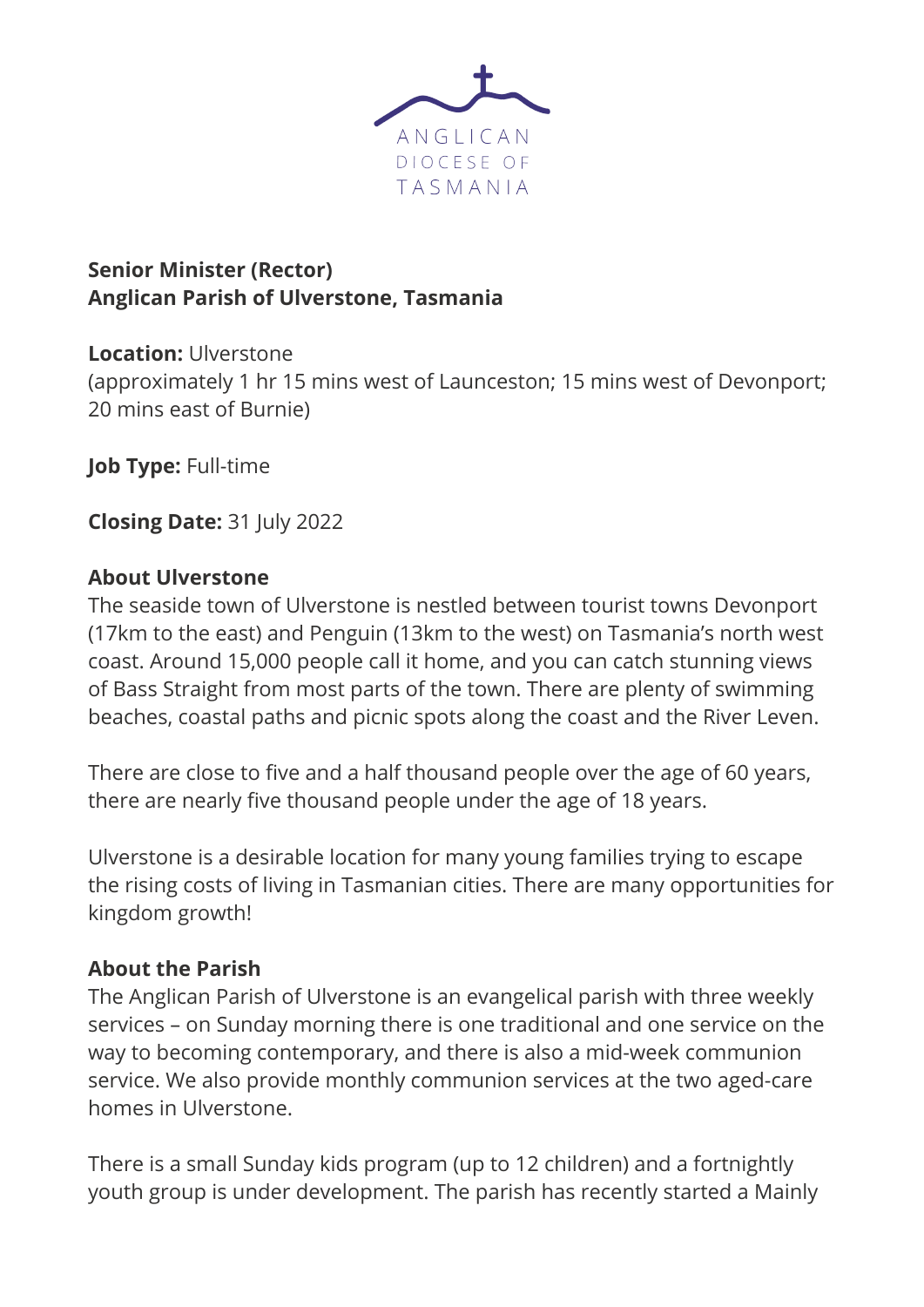

# **Senior Minister (Rector) Anglican Parish of Ulverstone, Tasmania**

**Location:** Ulverstone (approximately 1 hr 15 mins west of Launceston; 15 mins west of Devonport; 20 mins east of Burnie)

**Job Type:** Full-time

**Closing Date:** 31 July 2022

### **About Ulverstone**

The seaside town of Ulverstone is nestled between tourist towns Devonport (17km to the east) and Penguin (13km to the west) on Tasmania's north west coast. Around 15,000 people call it home, and you can catch stunning views of Bass Straight from most parts of the town. There are plenty of swimming beaches, coastal paths and picnic spots along the coast and the River Leven.

There are close to five and a half thousand people over the age of 60 years, there are nearly five thousand people under the age of 18 years.

Ulverstone is a desirable location for many young families trying to escape the rising costs of living in Tasmanian cities. There are many opportunities for kingdom growth!

### **About the Parish**

The Anglican Parish of Ulverstone is an evangelical parish with three weekly services – on Sunday morning there is one traditional and one service on the way to becoming contemporary, and there is also a mid-week communion service. We also provide monthly communion services at the two aged-care homes in Ulverstone.

There is a small Sunday kids program (up to 12 children) and a fortnightly youth group is under development. The parish has recently started a Mainly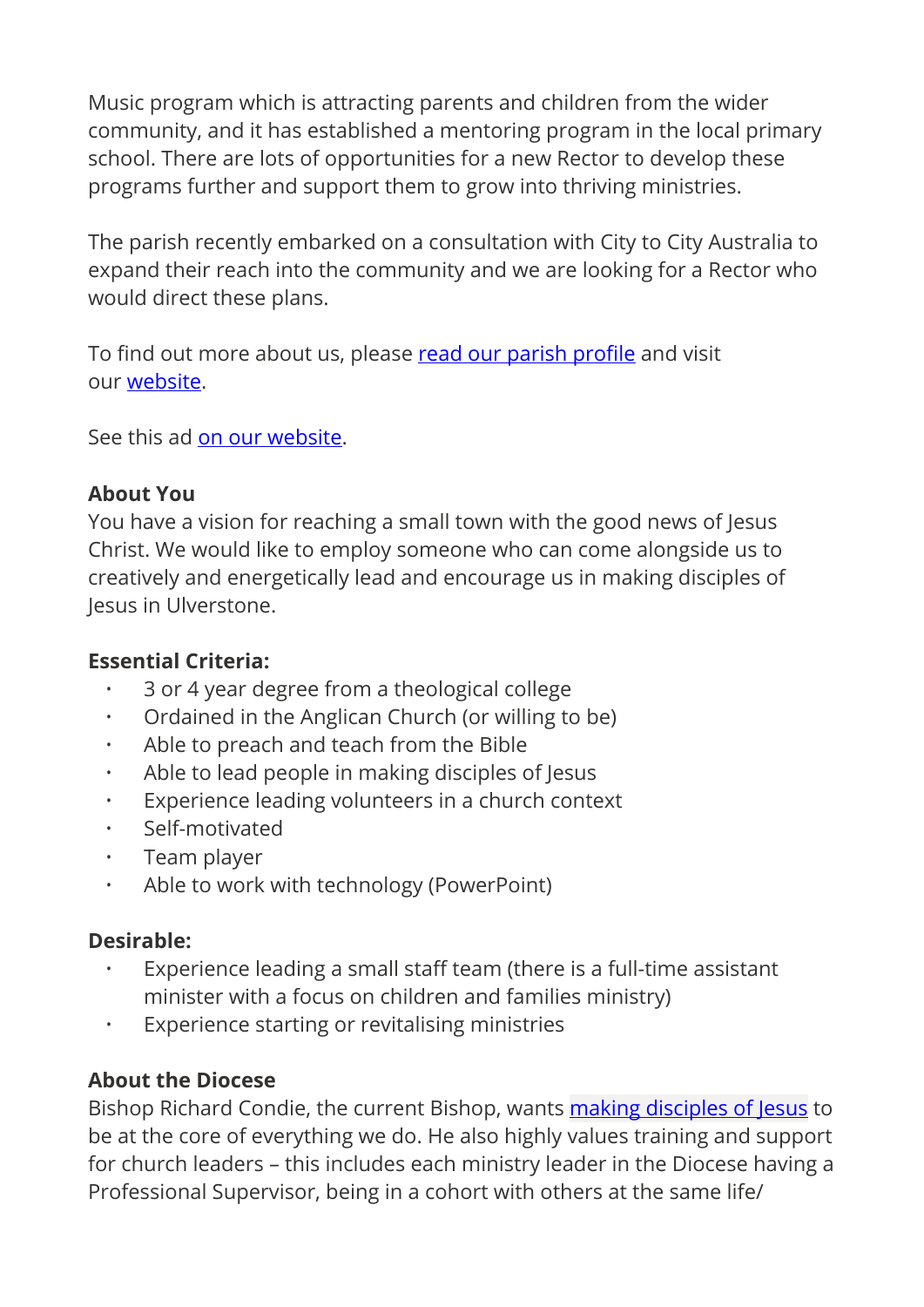Music program which is attracting parents and children from the wider community, and it has established a mentoring program in the local primary school. There are lots of opportunities for a new Rector to develop these programs further and support them to grow into thriving ministries.

The parish recently embarked on a consultation with City to City Australia to expand their reach into the community and we are looking for a Rector who would direct these plans.

To find out more about us, please [read our parish pro](https://aus01.safelinks.protection.outlook.com/?url=https%3A%2F%2Fanglicantas.org.au%2Fwp-content%2Fuploads%2F2021%2F11%2FUlverstone-Parish-Profile-November-2021.pdf&data=05%7C01%7Cads%40melbourneanglican.org.au%7C9b8a03341cec459f314208da53f4f5d2%7C477a69b79d924442a682189f12981683%7C0%7C0%7C637914608828453817%7CUnknown%7CTWFpbGZsb3d8eyJWIjoiMC4wLjAwMDAiLCJQIjoiV2luMzIiLCJBTiI6Ik1haWwiLCJXVCI6Mn0%3D%7C3000%7C%7C%7C&sdata=Mn3y2MM7LTc5oyRZFFG%2F1tTJ%2FcK8FJzS0gdiBwzR5V4%3D&reserved=0)file and visit our [website.](https://aus01.safelinks.protection.outlook.com/?url=https%3A%2F%2Fulverstoneanglican.weebly.com%2F&data=05%7C01%7Cads%40melbourneanglican.org.au%7C9b8a03341cec459f314208da53f4f5d2%7C477a69b79d924442a682189f12981683%7C0%7C0%7C637914608828453817%7CUnknown%7CTWFpbGZsb3d8eyJWIjoiMC4wLjAwMDAiLCJQIjoiV2luMzIiLCJBTiI6Ik1haWwiLCJXVCI6Mn0%3D%7C3000%7C%7C%7C&sdata=zY8Gw1GD15ELfFHSqXY1MtxJorqXh2Z9w22GgfOPn20%3D&reserved=0)

See this ad [on our website](https://aus01.safelinks.protection.outlook.com/?url=https%3A%2F%2Fanglicantas.org.au%2Frector-parish-of-ulverstone%2F&data=05%7C01%7Cads%40melbourneanglican.org.au%7C9b8a03341cec459f314208da53f4f5d2%7C477a69b79d924442a682189f12981683%7C0%7C0%7C637914608828453817%7CUnknown%7CTWFpbGZsb3d8eyJWIjoiMC4wLjAwMDAiLCJQIjoiV2luMzIiLCJBTiI6Ik1haWwiLCJXVCI6Mn0%3D%7C3000%7C%7C%7C&sdata=jkAowVM3xRL3itVLOTTcjoKWwl3WfNsQOVdXdKAlM5g%3D&reserved=0).

### **About You**

You have a vision for reaching a small town with the good news of Jesus Christ. We would like to employ someone who can come alongside us to creatively and energetically lead and encourage us in making disciples of Jesus in Ulverstone.

### **Essential Criteria:**

- 3 or 4 year degree from a theological college
- Ordained in the Anglican Church (or willing to be)
- Able to preach and teach from the Bible
- Able to lead people in making disciples of Jesus
- Experience leading volunteers in a church context
- Self-motivated
- Team player
- Able to work with technology (PowerPoint)

### **Desirable:**

- Experience leading a small staff team (there is a full-time assistant minister with a focus on children and families ministry)
- Experience starting or revitalising ministries

# **About the Diocese**

Bishop Richard Condie, the current Bishop, wants **[making disciples of Jesus](https://aus01.safelinks.protection.outlook.com/ap/b-59584e83/?url=https%3A%2F%2Fanglicantas.sharepoint.com%2F%3Ab%3A%2Fs%2FStaff%2FEZ0NfkySOpxPpwxoyBfKFPQB0FhmABFMxvlC7dnD6rcKow%3Fe%3DZHJuhD&data=05%7C01%7Cads%40melbourneanglican.org.au%7C9b8a03341cec459f314208da53f4f5d2%7C477a69b79d924442a682189f12981683%7C0%7C0%7C637914608828453817%7CUnknown%7CTWFpbGZsb3d8eyJWIjoiMC4wLjAwMDAiLCJQIjoiV2luMzIiLCJBTiI6Ik1haWwiLCJXVCI6Mn0%3D%7C3000%7C%7C%7C&sdata=uPalAJvWX%2FqOwTN6LK448lereKL5dkCu2yncdOM7kkk%3D&reserved=0)** to be at the core of everything we do. He also highly values training and support for church leaders – this includes each ministry leader in the Diocese having a Professional Supervisor, being in a cohort with others at the same life/